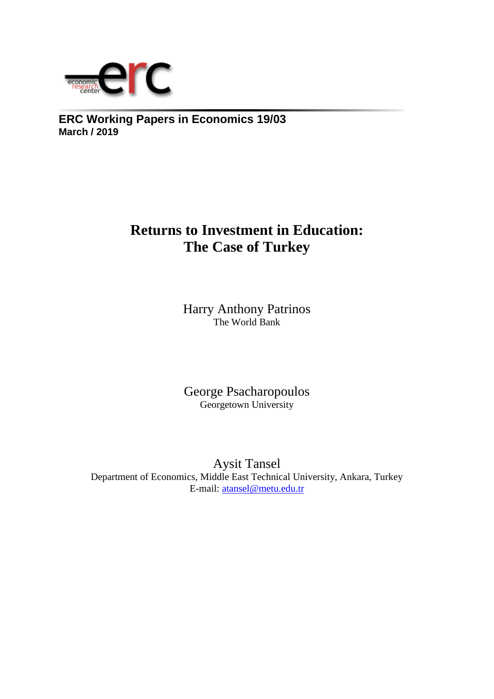

**ERC Working Papers in Economics 19/03 March / 2019**

# **Returns to Investment in Education: The Case of Turkey**

Harry Anthony Patrinos The World Bank

George Psacharopoulos Georgetown University

Aysit Tansel Department of Economics, Middle East Technical University, Ankara, Turkey E-mail: atansel@metu.edu.tr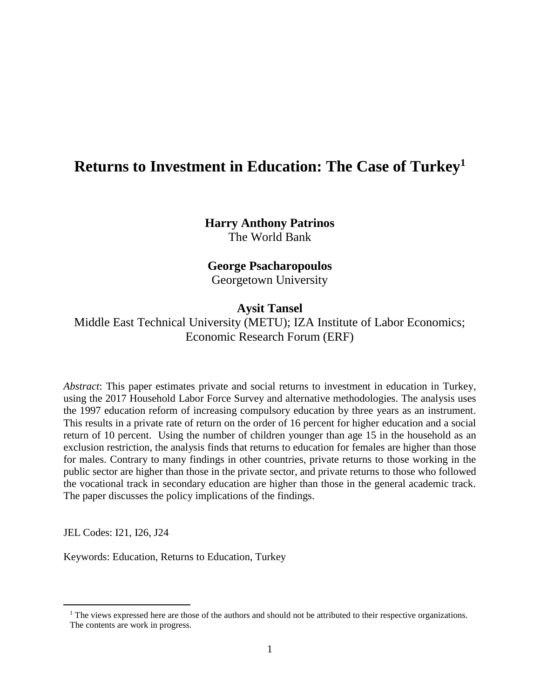## **Returns to Investment in Education: The Case of Turkey<sup>1</sup>**

**Harry Anthony Patrinos** The World Bank

## **George Psacharopoulos**

Georgetown University

## **Aysit Tansel**

Middle East Technical University (METU); IZA Institute of Labor Economics; Economic Research Forum (ERF)

*Abstract*: This paper estimates private and social returns to investment in education in Turkey, using the 2017 Household Labor Force Survey and alternative methodologies. The analysis uses the 1997 education reform of increasing compulsory education by three years as an instrument. This results in a private rate of return on the order of 16 percent for higher education and a social return of 10 percent. Using the number of children younger than age 15 in the household as an exclusion restriction, the analysis finds that returns to education for females are higher than those for males. Contrary to many findings in other countries, private returns to those working in the public sector are higher than those in the private sector, and private returns to those who followed the vocational track in secondary education are higher than those in the general academic track. The paper discusses the policy implications of the findings.

JEL Codes: I21, I26, J24

 $\overline{a}$ 

Keywords: Education, Returns to Education, Turkey

 $<sup>1</sup>$  The views expressed here are those of the authors and should not be attributed to their respective organizations.</sup> The contents are work in progress.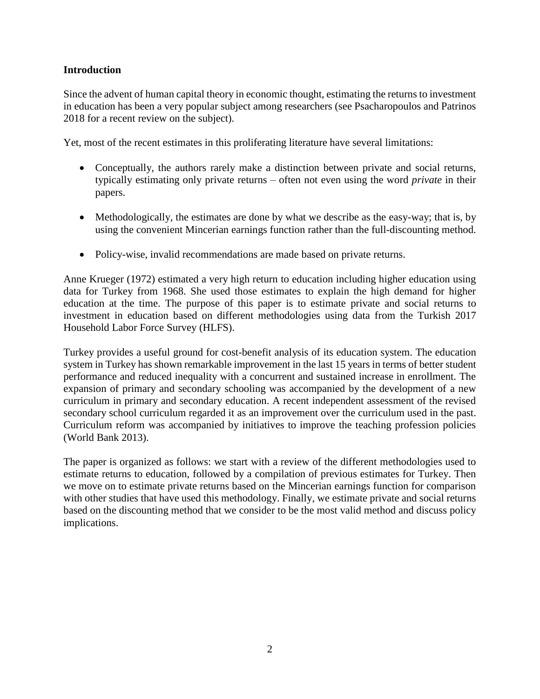## **Introduction**

Since the advent of human capital theory in economic thought, estimating the returns to investment in education has been a very popular subject among researchers (see Psacharopoulos and Patrinos 2018 for a recent review on the subject).

Yet, most of the recent estimates in this proliferating literature have several limitations:

- Conceptually, the authors rarely make a distinction between private and social returns, typically estimating only private returns – often not even using the word *private* in their papers.
- Methodologically, the estimates are done by what we describe as the easy-way; that is, by using the convenient Mincerian earnings function rather than the full-discounting method.
- Policy-wise, invalid recommendations are made based on private returns.

Anne Krueger (1972) estimated a very high return to education including higher education using data for Turkey from 1968. She used those estimates to explain the high demand for higher education at the time. The purpose of this paper is to estimate private and social returns to investment in education based on different methodologies using data from the Turkish 2017 Household Labor Force Survey (HLFS).

Turkey provides a useful ground for cost-benefit analysis of its education system. The education system in Turkey has shown remarkable improvement in the last 15 years in terms of better student performance and reduced inequality with a concurrent and sustained increase in enrollment. The expansion of primary and secondary schooling was accompanied by the development of a new curriculum in primary and secondary education. A recent independent assessment of the revised secondary school curriculum regarded it as an improvement over the curriculum used in the past. Curriculum reform was accompanied by initiatives to improve the teaching profession policies (World Bank 2013).

The paper is organized as follows: we start with a review of the different methodologies used to estimate returns to education, followed by a compilation of previous estimates for Turkey. Then we move on to estimate private returns based on the Mincerian earnings function for comparison with other studies that have used this methodology. Finally, we estimate private and social returns based on the discounting method that we consider to be the most valid method and discuss policy implications.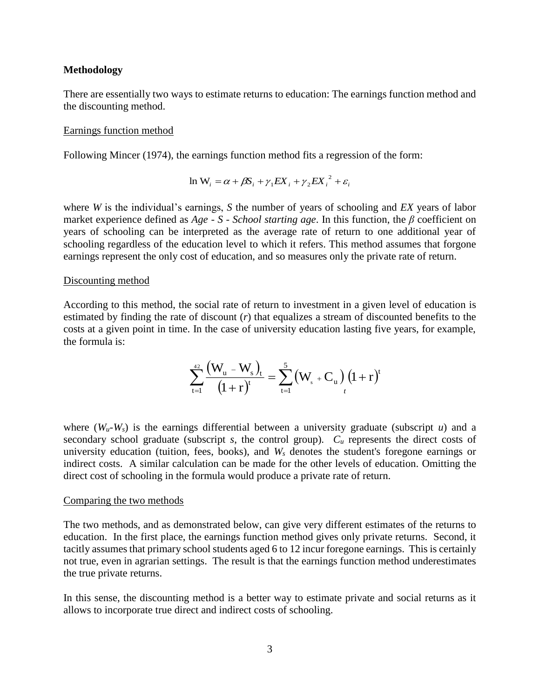#### **Methodology**

There are essentially two ways to estimate returns to education: The earnings function method and the discounting method.

#### Earnings function method

Following Mincer (1974), the earnings function method fits a regression of the form:

$$
\ln W_i = \alpha + \beta S_i + \gamma_1 E X_i + \gamma_2 E X_i^2 + \varepsilon_i
$$

where *W* is the individual's earnings, *S* the number of years of schooling and *EX* years of labor market experience defined as *Age* - *S* - *School starting age*. In this function, the *β* coefficient on years of schooling can be interpreted as the average rate of return to one additional year of schooling regardless of the education level to which it refers. This method assumes that forgone earnings represent the only cost of education, and so measures only the private rate of return.

#### Discounting method

According to this method, the social rate of return to investment in a given level of education is estimated by finding the rate of discount (*r*) that equalizes a stream of discounted benefits to the costs at a given point in time. In the case of university education lasting five years, for example, the formula is:

$$
\sum_{t=1}^{42}\frac{\left(W_{u}-W_{s}\right)_{t}}{\left(1+r\right)^{t}}=\sum_{t=1}^{5}\left(W_{s}+C_{u}\right)_{t}\left(1+r\right)^{t}
$$

where  $(W_u-W_s)$  is the earnings differential between a university graduate (subscript *u*) and a secondary school graduate (subscript *s*, the control group).  $C_u$  represents the direct costs of university education (tuition, fees, books), and *W<sup>s</sup>* denotes the student's foregone earnings or indirect costs. A similar calculation can be made for the other levels of education. Omitting the direct cost of schooling in the formula would produce a private rate of return.

#### Comparing the two methods

The two methods, and as demonstrated below, can give very different estimates of the returns to education. In the first place, the earnings function method gives only private returns. Second, it tacitly assumes that primary school students aged 6 to 12 incur foregone earnings. This is certainly not true, even in agrarian settings. The result is that the earnings function method underestimates the true private returns.

In this sense, the discounting method is a better way to estimate private and social returns as it allows to incorporate true direct and indirect costs of schooling.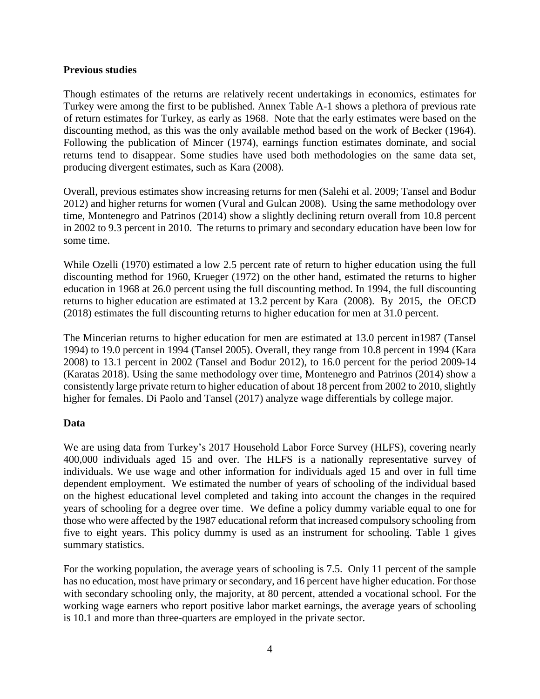## **Previous studies**

Though estimates of the returns are relatively recent undertakings in economics, estimates for Turkey were among the first to be published. Annex Table A-1 shows a plethora of previous rate of return estimates for Turkey, as early as 1968. Note that the early estimates were based on the discounting method, as this was the only available method based on the work of Becker (1964). Following the publication of Mincer (1974), earnings function estimates dominate, and social returns tend to disappear. Some studies have used both methodologies on the same data set, producing divergent estimates, such as Kara (2008).

Overall, previous estimates show increasing returns for men (Salehi et al. 2009; Tansel and Bodur 2012) and higher returns for women (Vural and Gulcan 2008). Using the same methodology over time, Montenegro and Patrinos (2014) show a slightly declining return overall from 10.8 percent in 2002 to 9.3 percent in 2010. The returns to primary and secondary education have been low for some time.

While Ozelli (1970) estimated a low 2.5 percent rate of return to higher education using the full discounting method for 1960, Krueger (1972) on the other hand, estimated the returns to higher education in 1968 at 26.0 percent using the full discounting method. In 1994, the full discounting returns to higher education are estimated at 13.2 percent by Kara (2008). By 2015, the OECD (2018) estimates the full discounting returns to higher education for men at 31.0 percent.

The Mincerian returns to higher education for men are estimated at 13.0 percent in1987 (Tansel 1994) to 19.0 percent in 1994 (Tansel 2005). Overall, they range from 10.8 percent in 1994 (Kara 2008) to 13.1 percent in 2002 (Tansel and Bodur 2012), to 16.0 percent for the period 2009-14 (Karatas 2018). Using the same methodology over time, Montenegro and Patrinos (2014) show a consistently large private return to higher education of about 18 percent from 2002 to 2010, slightly higher for females. Di Paolo and Tansel (2017) analyze wage differentials by college major.

## **Data**

We are using data from Turkey's 2017 Household Labor Force Survey (HLFS), covering nearly 400,000 individuals aged 15 and over. The HLFS is a nationally representative survey of individuals. We use wage and other information for individuals aged 15 and over in full time dependent employment. We estimated the number of years of schooling of the individual based on the highest educational level completed and taking into account the changes in the required years of schooling for a degree over time. We define a policy dummy variable equal to one for those who were affected by the 1987 educational reform that increased compulsory schooling from five to eight years. This policy dummy is used as an instrument for schooling. Table 1 gives summary statistics.

For the working population, the average years of schooling is 7.5. Only 11 percent of the sample has no education, most have primary or secondary, and 16 percent have higher education. For those with secondary schooling only, the majority, at 80 percent, attended a vocational school. For the working wage earners who report positive labor market earnings, the average years of schooling is 10.1 and more than three-quarters are employed in the private sector.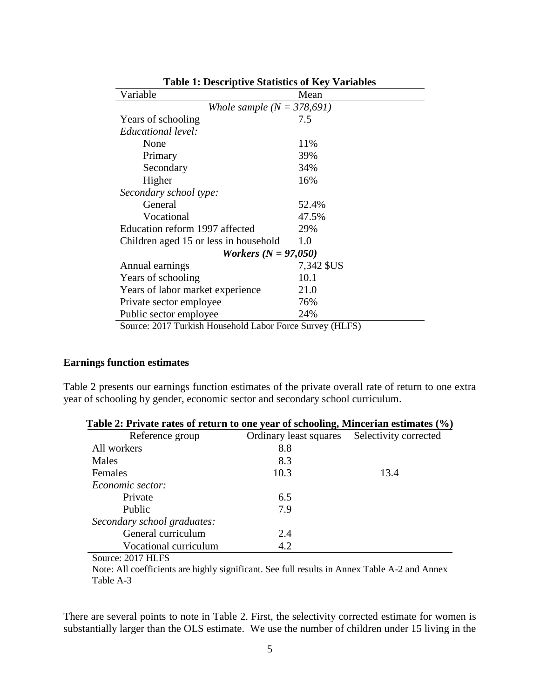| Table 1. Descriptive Blatistics of ISC Variables<br>Variable | Mean       |
|--------------------------------------------------------------|------------|
| Whole sample $(N = 378,691)$                                 |            |
| Years of schooling                                           | 7.5        |
| Educational level:                                           |            |
| None                                                         | 11%        |
| Primary                                                      | 39%        |
| Secondary                                                    | 34%        |
| Higher                                                       | 16%        |
| Secondary school type:                                       |            |
| General                                                      | 52.4%      |
| Vocational                                                   | 47.5%      |
| Education reform 1997 affected                               | 29%        |
| Children aged 15 or less in household                        | 1.0        |
| <i>Workers</i> ( $N = 97,050$ )                              |            |
| Annual earnings                                              | 7,342 \$US |
| Years of schooling                                           | 10.1       |
| Years of labor market experience                             | 21.0       |
| Private sector employee                                      | 76%        |
| Public sector employee                                       | 24%        |
| Source: 2017 Turkish Household Labor Force Survey (HLFS)     |            |

**Table 1: Descriptive Statistics of Key Variables**

## **Earnings function estimates**

Table 2 presents our earnings function estimates of the private overall rate of return to one extra year of schooling by gender, economic sector and secondary school curriculum.

| Table 2. I fivale rates of return to the year of schooling, biliterial estimates (70) |                        |                       |  |  |  |  |
|---------------------------------------------------------------------------------------|------------------------|-----------------------|--|--|--|--|
| Reference group                                                                       | Ordinary least squares | Selectivity corrected |  |  |  |  |
| All workers                                                                           | 8.8                    |                       |  |  |  |  |
| Males                                                                                 | 8.3                    |                       |  |  |  |  |
| Females                                                                               | 10.3                   | 13.4                  |  |  |  |  |
| Economic sector:                                                                      |                        |                       |  |  |  |  |
| Private                                                                               | 6.5                    |                       |  |  |  |  |
| <b>Public</b>                                                                         | 7.9                    |                       |  |  |  |  |
| Secondary school graduates:                                                           |                        |                       |  |  |  |  |
| General curriculum                                                                    | 2.4                    |                       |  |  |  |  |
| Vocational curriculum                                                                 | 4.2                    |                       |  |  |  |  |

| Table 2: Private rates of return to one year of schooling, Mincerian estimates (%) |  |  |  |
|------------------------------------------------------------------------------------|--|--|--|

Source: 2017 HLFS

Note: All coefficients are highly significant. See full results in Annex Table A-2 and Annex Table A-3

There are several points to note in Table 2. First, the selectivity corrected estimate for women is substantially larger than the OLS estimate. We use the number of children under 15 living in the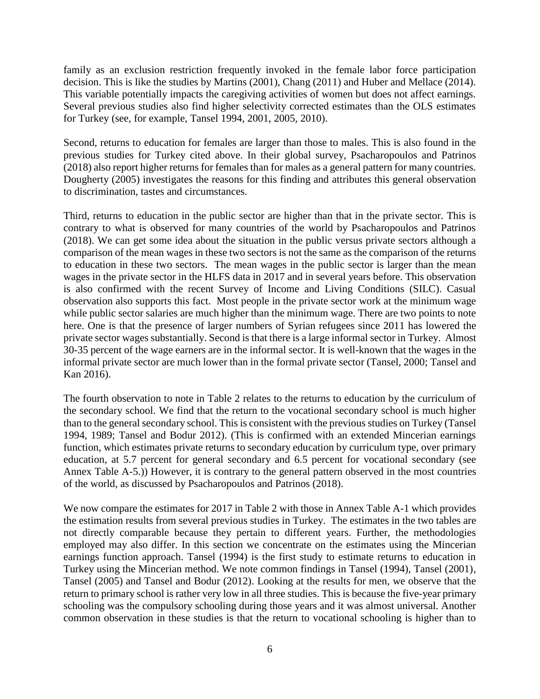family as an exclusion restriction frequently invoked in the female labor force participation decision. This is like the studies by Martins (2001), Chang (2011) and Huber and Mellace (2014). This variable potentially impacts the caregiving activities of women but does not affect earnings. Several previous studies also find higher selectivity corrected estimates than the OLS estimates for Turkey (see, for example, Tansel 1994, 2001, 2005, 2010).

Second, returns to education for females are larger than those to males. This is also found in the previous studies for Turkey cited above. In their global survey, Psacharopoulos and Patrinos (2018) also report higher returns for females than for males as a general pattern for many countries. Dougherty (2005) investigates the reasons for this finding and attributes this general observation to discrimination, tastes and circumstances.

Third, returns to education in the public sector are higher than that in the private sector. This is contrary to what is observed for many countries of the world by Psacharopoulos and Patrinos (2018). We can get some idea about the situation in the public versus private sectors although a comparison of the mean wages in these two sectors is not the same as the comparison of the returns to education in these two sectors. The mean wages in the public sector is larger than the mean wages in the private sector in the HLFS data in 2017 and in several years before. This observation is also confirmed with the recent Survey of Income and Living Conditions (SILC). Casual observation also supports this fact. Most people in the private sector work at the minimum wage while public sector salaries are much higher than the minimum wage. There are two points to note here. One is that the presence of larger numbers of Syrian refugees since 2011 has lowered the private sector wages substantially. Second is that there is a large informal sector in Turkey. Almost 30-35 percent of the wage earners are in the informal sector. It is well-known that the wages in the informal private sector are much lower than in the formal private sector (Tansel, 2000; Tansel and Kan 2016).

The fourth observation to note in Table 2 relates to the returns to education by the curriculum of the secondary school. We find that the return to the vocational secondary school is much higher than to the general secondary school. This is consistent with the previous studies on Turkey (Tansel 1994, 1989; Tansel and Bodur 2012). (This is confirmed with an extended Mincerian earnings function, which estimates private returns to secondary education by curriculum type, over primary education, at 5.7 percent for general secondary and 6.5 percent for vocational secondary (see Annex Table A-5.)) However, it is contrary to the general pattern observed in the most countries of the world, as discussed by Psacharopoulos and Patrinos (2018).

We now compare the estimates for 2017 in Table 2 with those in Annex Table A-1 which provides the estimation results from several previous studies in Turkey. The estimates in the two tables are not directly comparable because they pertain to different years. Further, the methodologies employed may also differ. In this section we concentrate on the estimates using the Mincerian earnings function approach. Tansel (1994) is the first study to estimate returns to education in Turkey using the Mincerian method. We note common findings in Tansel (1994), Tansel (2001), Tansel (2005) and Tansel and Bodur (2012). Looking at the results for men, we observe that the return to primary school is rather very low in all three studies. This is because the five-year primary schooling was the compulsory schooling during those years and it was almost universal. Another common observation in these studies is that the return to vocational schooling is higher than to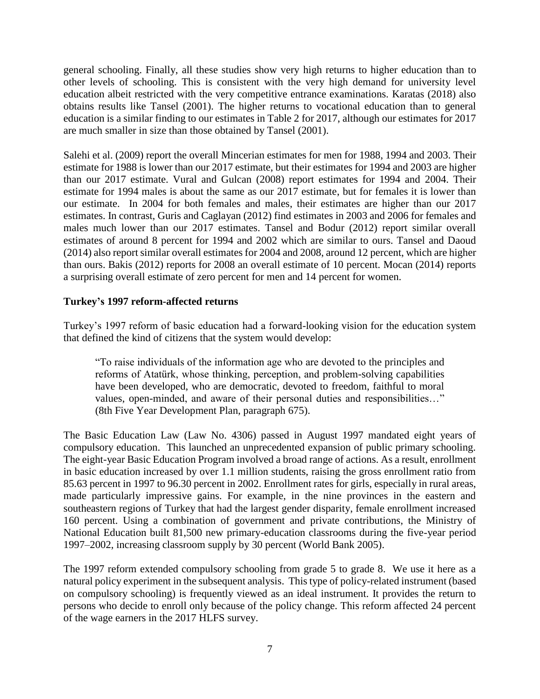general schooling. Finally, all these studies show very high returns to higher education than to other levels of schooling. This is consistent with the very high demand for university level education albeit restricted with the very competitive entrance examinations. Karatas (2018) also obtains results like Tansel (2001). The higher returns to vocational education than to general education is a similar finding to our estimates in Table 2 for 2017, although our estimates for 2017 are much smaller in size than those obtained by Tansel (2001).

Salehi et al. (2009) report the overall Mincerian estimates for men for 1988, 1994 and 2003. Their estimate for 1988 is lower than our 2017 estimate, but their estimates for 1994 and 2003 are higher than our 2017 estimate. Vural and Gulcan (2008) report estimates for 1994 and 2004. Their estimate for 1994 males is about the same as our 2017 estimate, but for females it is lower than our estimate. In 2004 for both females and males, their estimates are higher than our 2017 estimates. In contrast, Guris and Caglayan (2012) find estimates in 2003 and 2006 for females and males much lower than our 2017 estimates. Tansel and Bodur (2012) report similar overall estimates of around 8 percent for 1994 and 2002 which are similar to ours. Tansel and Daoud (2014) also report similar overall estimates for 2004 and 2008, around 12 percent, which are higher than ours. Bakis (2012) reports for 2008 an overall estimate of 10 percent. Mocan (2014) reports a surprising overall estimate of zero percent for men and 14 percent for women.

## **Turkey's 1997 reform-affected returns**

Turkey's 1997 reform of basic education had a forward-looking vision for the education system that defined the kind of citizens that the system would develop:

"To raise individuals of the information age who are devoted to the principles and reforms of Atatürk, whose thinking, perception, and problem-solving capabilities have been developed, who are democratic, devoted to freedom, faithful to moral values, open-minded, and aware of their personal duties and responsibilities…" (8th Five Year Development Plan, paragraph 675).

The Basic Education Law (Law No. 4306) passed in August 1997 mandated eight years of compulsory education. This launched an unprecedented expansion of public primary schooling. The eight-year Basic Education Program involved a broad range of actions. As a result, enrollment in basic education increased by over 1.1 million students, raising the gross enrollment ratio from 85.63 percent in 1997 to 96.30 percent in 2002. Enrollment rates for girls, especially in rural areas, made particularly impressive gains. For example, in the nine provinces in the eastern and southeastern regions of Turkey that had the largest gender disparity, female enrollment increased 160 percent. Using a combination of government and private contributions, the Ministry of National Education built 81,500 new primary-education classrooms during the five-year period 1997–2002, increasing classroom supply by 30 percent (World Bank 2005).

The 1997 reform extended compulsory schooling from grade 5 to grade 8. We use it here as a natural policy experiment in the subsequent analysis. This type of policy-related instrument (based on compulsory schooling) is frequently viewed as an ideal instrument. It provides the return to persons who decide to enroll only because of the policy change. This reform affected 24 percent of the wage earners in the 2017 HLFS survey.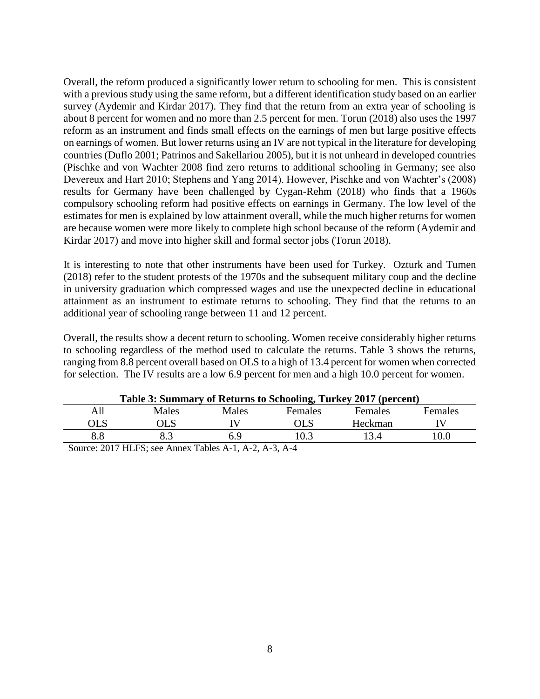Overall, the reform produced a significantly lower return to schooling for men. This is consistent with a previous study using the same reform, but a different identification study based on an earlier survey (Aydemir and Kirdar 2017). They find that the return from an extra year of schooling is about 8 percent for women and no more than 2.5 percent for men. Torun (2018) also uses the 1997 reform as an instrument and finds small effects on the earnings of men but large positive effects on earnings of women. But lower returns using an IV are not typical in the literature for developing countries (Duflo 2001; Patrinos and Sakellariou 2005), but it is not unheard in developed countries (Pischke and von Wachter 2008 find zero returns to additional schooling in Germany; see also Devereux and Hart 2010; Stephens and Yang 2014). However, Pischke and von Wachter's (2008) results for Germany have been challenged by Cygan-Rehm (2018) who finds that a 1960s compulsory schooling reform had positive effects on earnings in Germany. The low level of the estimates for men is explained by low attainment overall, while the much higher returns for women are because women were more likely to complete high school because of the reform (Aydemir and Kirdar 2017) and move into higher skill and formal sector jobs (Torun 2018).

It is interesting to note that other instruments have been used for Turkey. Ozturk and Tumen (2018) refer to the student protests of the 1970s and the subsequent military coup and the decline in university graduation which compressed wages and use the unexpected decline in educational attainment as an instrument to estimate returns to schooling. They find that the returns to an additional year of schooling range between 11 and 12 percent.

Overall, the results show a decent return to schooling. Women receive considerably higher returns to schooling regardless of the method used to calculate the returns. Table 3 shows the returns, ranging from 8.8 percent overall based on OLS to a high of 13.4 percent for women when corrected for selection. The IV results are a low 6.9 percent for men and a high 10.0 percent for women.

| Table 3: Summary of Returns to Schooling, Turkey 2017 (percent) |       |       |         |                |         |
|-----------------------------------------------------------------|-------|-------|---------|----------------|---------|
| All                                                             | Males | Males | Females | <b>Females</b> | Females |
| OLS                                                             | ЭLS   |       | OLS     | Heckman        |         |
| 8.8                                                             |       |       | 10.3    |                | 10.0    |
| $-$<br>- - - - - -- - -                                         |       | .     |         |                |         |

Source: 2017 HLFS; see Annex Tables A-1, A-2, A-3, A-4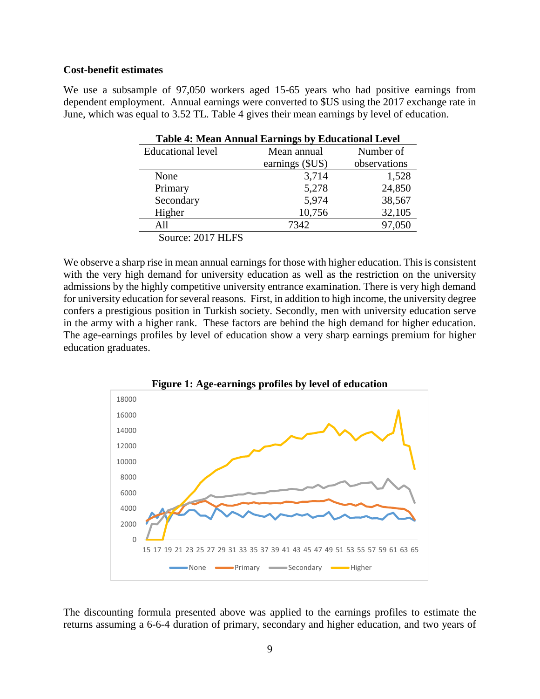## **Cost-benefit estimates**

We use a subsample of 97,050 workers aged 15-65 years who had positive earnings from dependent employment. Annual earnings were converted to \$US using the 2017 exchange rate in June, which was equal to 3.52 TL. Table 4 gives their mean earnings by level of education.

| <b>Table 4: Mean Annual Earnings by Educational Level</b> |                 |              |  |  |  |
|-----------------------------------------------------------|-----------------|--------------|--|--|--|
| <b>Educational level</b>                                  | Mean annual     | Number of    |  |  |  |
|                                                           | earnings (\$US) | observations |  |  |  |
| None                                                      | 3,714           | 1,528        |  |  |  |
| Primary                                                   | 5,278           | 24,850       |  |  |  |
| Secondary                                                 | 5,974           | 38,567       |  |  |  |
| Higher                                                    | 10,756          | 32,105       |  |  |  |
| All                                                       | 7342            | 97,050       |  |  |  |
| Source: 2017 HLFS                                         |                 |              |  |  |  |

We observe a sharp rise in mean annual earnings for those with higher education. This is consistent with the very high demand for university education as well as the restriction on the university admissions by the highly competitive university entrance examination. There is very high demand for university education for several reasons. First, in addition to high income, the university degree confers a prestigious position in Turkish society. Secondly, men with university education serve in the army with a higher rank. These factors are behind the high demand for higher education. The age-earnings profiles by level of education show a very sharp earnings premium for higher education graduates.



The discounting formula presented above was applied to the earnings profiles to estimate the returns assuming a 6-6-4 duration of primary, secondary and higher education, and two years of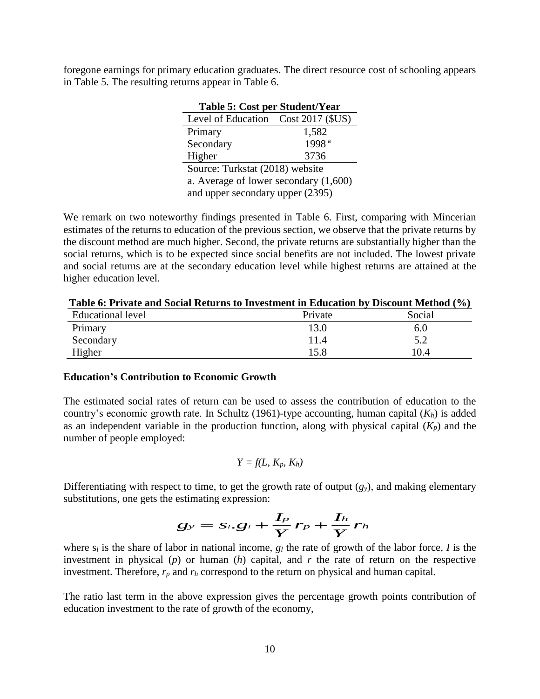foregone earnings for primary education graduates. The direct resource cost of schooling appears in Table 5. The resulting returns appear in Table 6.

**Table 5: Cost per Student/Year**

| Table 5: Cost per Student/ rear-        |                   |  |  |  |
|-----------------------------------------|-------------------|--|--|--|
| Level of Education Cost 2017 (\$US)     |                   |  |  |  |
| Primary                                 | 1,582             |  |  |  |
| Secondary                               | 1998 <sup>a</sup> |  |  |  |
| Higher                                  | 3736              |  |  |  |
| Source: Turkstat (2018) website         |                   |  |  |  |
| a. Average of lower secondary $(1,600)$ |                   |  |  |  |
| and upper secondary upper (2395)        |                   |  |  |  |

We remark on two noteworthy findings presented in Table 6. First, comparing with Mincerian estimates of the returns to education of the previous section, we observe that the private returns by the discount method are much higher. Second, the private returns are substantially higher than the social returns, which is to be expected since social benefits are not included. The lowest private and social returns are at the secondary education level while highest returns are attained at the higher education level.

| Table 6: Private and Social Returns to Investment in Education by Discount Method (%) |         |        |
|---------------------------------------------------------------------------------------|---------|--------|
| <b>Educational level</b>                                                              | Private | Social |
| Primary                                                                               | 13.0    | 6.0    |
| Secondary                                                                             | 11.4    | 5.2    |
| Higher                                                                                | 15.8    | 10.4   |

#### **Education's Contribution to Economic Growth**

The estimated social rates of return can be used to assess the contribution of education to the country's economic growth rate. In Schultz (1961)-type accounting, human capital (*Kh*) is added as an independent variable in the production function, along with physical capital  $(K_p)$  and the number of people employed:

$$
Y=f(L, K_p, K_h)
$$

Differentiating with respect to time, to get the growth rate of output  $(g_y)$ , and making elementary substitutions, one gets the estimating expression:

$$
g_{y}=s_{i}.g_{i}+\frac{I_{p}}{Y}r_{p}+\frac{I_{h}}{Y}r_{h}
$$

where s*<sup>l</sup>* is the share of labor in national income, *g<sup>l</sup>* the rate of growth of the labor force*, I* is the investment in physical (*p*) or human (*h*) capital, and *r* the rate of return on the respective investment. Therefore, *r<sup>p</sup>* and *r<sup>h</sup>* correspond to the return on physical and human capital.

The ratio last term in the above expression gives the percentage growth points contribution of education investment to the rate of growth of the economy,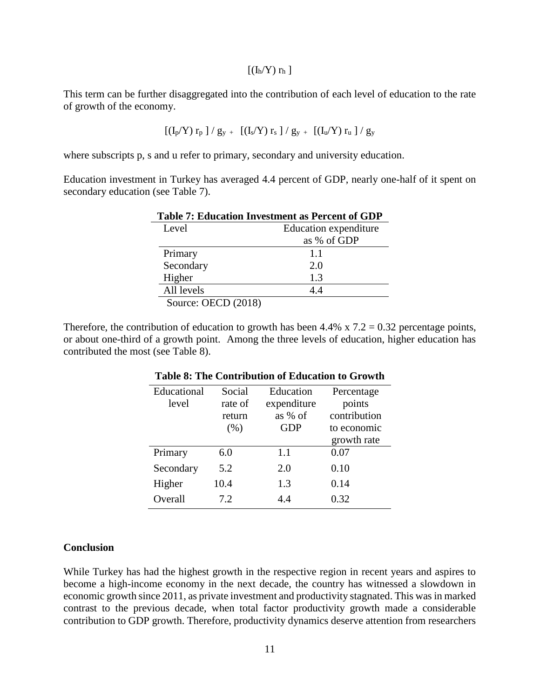#### $[(I_h/Y) r_h]$

This term can be further disaggregated into the contribution of each level of education to the rate of growth of the economy.

$$
\left[\left(I_p/Y\right)r_p\; \right] / \; g_y \; + \; \left[\left(I_s/Y\right)r_s\; \right] / \; g_y \; + \; \left[\left(I_u/Y\right)r_u\; \right] / \; g_y
$$

where subscripts p, s and u refer to primary, secondary and university education.

Education investment in Turkey has averaged 4.4 percent of GDP, nearly one-half of it spent on secondary education (see Table 7).

| <b>Table 7: Education Investment as Percent of GDP</b> |             |  |  |  |  |
|--------------------------------------------------------|-------------|--|--|--|--|
| Education expenditure<br>Level                         |             |  |  |  |  |
|                                                        | as % of GDP |  |  |  |  |
| Primary                                                | 1.1         |  |  |  |  |
| Secondary                                              | 2.0         |  |  |  |  |
| Higher                                                 | 1.3         |  |  |  |  |
| All levels                                             | 44          |  |  |  |  |
| Source: OECD (2018)                                    |             |  |  |  |  |

Therefore, the contribution of education to growth has been  $4.4\%$  x  $7.2 = 0.32$  percentage points, or about one-third of a growth point. Among the three levels of education, higher education has contributed the most (see Table 8).

| Educational | Social  | Education   | Percentage   |
|-------------|---------|-------------|--------------|
| level       | rate of | expenditure | points       |
|             | return  | as % of     | contribution |
|             | (% )    | <b>GDP</b>  | to economic  |
|             |         |             | growth rate  |
| Primary     | 6.0     | 1.1         | 0.07         |
| Secondary   | 5.2     | 2.0         | 0.10         |
| Higher      | 10.4    | 1.3         | 0.14         |
| Overall     | 7.2     | 44          | 0.32         |

## **Table 8: The Contribution of Education to Growth**

#### **Conclusion**

While Turkey has had the highest growth in the respective region in recent years and aspires to become a high-income economy in the next decade, the country has witnessed a slowdown in economic growth since 2011, as private investment and productivity stagnated. This was in marked contrast to the previous decade, when total factor productivity growth made a considerable contribution to GDP growth. Therefore, productivity dynamics deserve attention from researchers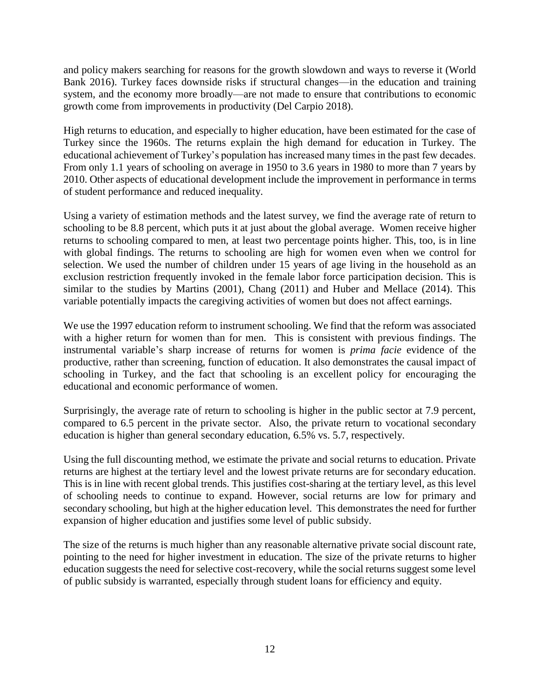and policy makers searching for reasons for the growth slowdown and ways to reverse it (World Bank 2016). Turkey faces downside risks if structural changes—in the education and training system, and the economy more broadly—are not made to ensure that contributions to economic growth come from improvements in productivity (Del Carpio 2018).

High returns to education, and especially to higher education, have been estimated for the case of Turkey since the 1960s. The returns explain the high demand for education in Turkey. The educational achievement of Turkey's population has increased many times in the past few decades. From only 1.1 years of schooling on average in 1950 to 3.6 years in 1980 to more than 7 years by 2010. Other aspects of educational development include the improvement in performance in terms of student performance and reduced inequality.

Using a variety of estimation methods and the latest survey, we find the average rate of return to schooling to be 8.8 percent, which puts it at just about the global average. Women receive higher returns to schooling compared to men, at least two percentage points higher. This, too, is in line with global findings. The returns to schooling are high for women even when we control for selection. We used the number of children under 15 years of age living in the household as an exclusion restriction frequently invoked in the female labor force participation decision. This is similar to the studies by Martins (2001), Chang (2011) and Huber and Mellace (2014). This variable potentially impacts the caregiving activities of women but does not affect earnings.

We use the 1997 education reform to instrument schooling. We find that the reform was associated with a higher return for women than for men. This is consistent with previous findings. The instrumental variable's sharp increase of returns for women is *prima facie* evidence of the productive, rather than screening, function of education. It also demonstrates the causal impact of schooling in Turkey, and the fact that schooling is an excellent policy for encouraging the educational and economic performance of women.

Surprisingly, the average rate of return to schooling is higher in the public sector at 7.9 percent, compared to 6.5 percent in the private sector. Also, the private return to vocational secondary education is higher than general secondary education, 6.5% vs. 5.7, respectively.

Using the full discounting method, we estimate the private and social returns to education. Private returns are highest at the tertiary level and the lowest private returns are for secondary education. This is in line with recent global trends. This justifies cost-sharing at the tertiary level, as this level of schooling needs to continue to expand. However, social returns are low for primary and secondary schooling, but high at the higher education level. This demonstrates the need for further expansion of higher education and justifies some level of public subsidy.

The size of the returns is much higher than any reasonable alternative private social discount rate, pointing to the need for higher investment in education. The size of the private returns to higher education suggests the need for selective cost-recovery, while the social returns suggest some level of public subsidy is warranted, especially through student loans for efficiency and equity.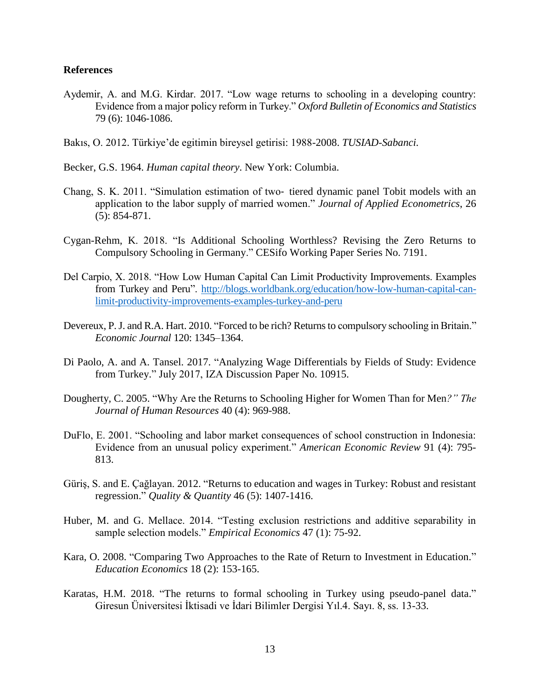## **References**

- Aydemir, A. and M.G. Kirdar. 2017. "Low wage returns to schooling in a developing country: Evidence from a major policy reform in Turkey." *Oxford Bulletin of Economics and Statistics* 79 (6): 1046-1086.
- Bakıs, O. 2012. Türkiye'de egitimin bireysel getirisi: 1988-2008. *TUSIAD-Sabanci.*
- Becker, G.S. 1964. *Human capital theory*. New York: Columbia.
- Chang, S. K. 2011. "Simulation estimation of two‐ tiered dynamic panel Tobit models with an application to the labor supply of married women." *Journal of Applied Econometrics*, 26 (5): 854-871.
- Cygan-Rehm, K. 2018. "Is Additional Schooling Worthless? Revising the Zero Returns to Compulsory Schooling in Germany." CESifo Working Paper Series No. 7191.
- Del Carpio, X. 2018. "How Low Human Capital Can Limit Productivity Improvements. Examples from Turkey and Peru". [http://blogs.worldbank.org/education/how-low-human-capital-can](http://blogs.worldbank.org/education/how-low-human-capital-can-limit-productivity-improvements-examples-turkey-and-peru)[limit-productivity-improvements-examples-turkey-and-peru](http://blogs.worldbank.org/education/how-low-human-capital-can-limit-productivity-improvements-examples-turkey-and-peru)
- Devereux, P. J. and R.A. Hart. 2010. "Forced to be rich? Returns to compulsory schooling in Britain." *Economic Journal* 120: 1345–1364.
- Di Paolo, A. and A. Tansel. 2017. "Analyzing Wage Differentials by Fields of Study: Evidence from Turkey." July 2017, IZA Discussion Paper No. 10915.
- Dougherty, C. 2005. "Why Are the Returns to Schooling Higher for Women Than for Men*?" The Journal of Human Resources* 40 (4): 969-988.
- DuFlo, E. 2001. "Schooling and labor market consequences of school construction in Indonesia: Evidence from an unusual policy experiment." *American Economic Review* 91 (4): 795- 813.
- Güriş, S. and E. Çağlayan. 2012. "Returns to education and wages in Turkey: Robust and resistant regression." *Quality & Quantity* 46 (5): 1407-1416.
- Huber, M. and G. Mellace. 2014. "Testing exclusion restrictions and additive separability in sample selection models." *Empirical Economics* 47 (1): 75-92.
- Kara, O. 2008. "Comparing Two Approaches to the Rate of Return to Investment in Education." *Education Economics* 18 (2): 153-165.
- Karatas, H.M. 2018. "The returns to formal schooling in Turkey using pseudo-panel data." Giresun Üniversitesi İktisadi ve İdari Bilimler Dergisi Yıl.4. Sayı. 8, ss. 13-33.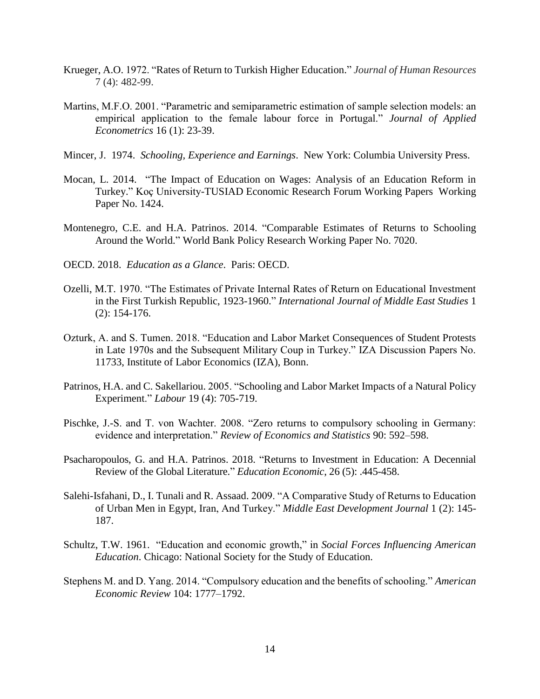- Krueger, A.O. 1972. "Rates of Return to Turkish Higher Education." *Journal of Human Resources* 7 (4): 482-99.
- Martins, M.F.O. 2001. "Parametric and semiparametric estimation of sample selection models: an empirical application to the female labour force in Portugal." *Journal of Applied Econometrics* 16 (1): 23-39.
- Mincer, J. 1974. *Schooling, Experience and Earnings*. New York: Columbia University Press.
- Mocan, L. 2014. "The Impact of Education on Wages: Analysis of an Education Reform in Turkey." [Koç University-TUSIAD Economic Research Forum Working Papers](https://econpapers.repec.org/paper/kocwpaper/) Working Paper No. 1424.
- Montenegro, C.E. and H.A. Patrinos. 2014. "Comparable Estimates of Returns to Schooling Around the World." World Bank Policy Research Working Paper No. 7020.
- OECD. 2018. *Education as a Glance*. Paris: OECD.
- Ozelli, M.T. 1970. "The Estimates of Private Internal Rates of Return on Educational Investment in the First Turkish Republic, 1923-1960." *International Journal of Middle East Studies* 1 (2): 154-176.
- Ozturk, A. and S. Tumen. 2018. "Education and Labor Market Consequences of Student Protests in Late 1970s and the Subsequent Military Coup in Turkey." IZA Discussion Papers No. 11733, Institute of Labor Economics (IZA), Bonn.
- Patrinos, H.A. and C. Sakellariou. 2005. "Schooling and Labor Market Impacts of a Natural Policy Experiment." *Labour* 19 (4): 705-719.
- Pischke, J.-S. and T. von Wachter. 2008. "Zero returns to compulsory schooling in Germany: evidence and interpretation." *Review of Economics and Statistics* 90: 592–598.
- Psacharopoulos, G. and H.A. Patrinos. 2018. "Returns to Investment in Education: A Decennial Review of the Global Literature." *Education Economic*, 26 (5): .445-458.
- Salehi-Isfahani, D., I. Tunali and R. Assaad. 2009. "A Comparative Study of Returns to Education of Urban Men in Egypt, Iran, And Turkey." *Middle East Development Journal* 1 (2): 145- 187.
- Schultz, T.W. 1961. "Education and economic growth," in *Social Forces Influencing American Education*. Chicago: National Society for the Study of Education.
- Stephens M. and D. Yang. 2014. "Compulsory education and the benefits of schooling." *American Economic Review* 104: 1777–1792.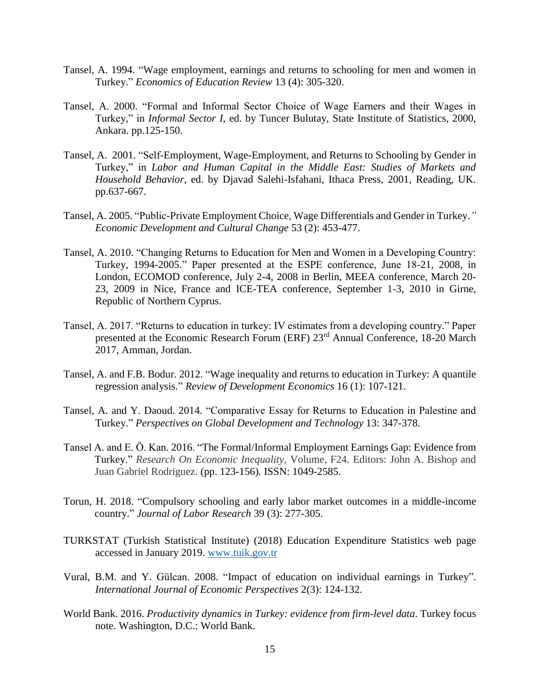- Tansel, A. 1994. "Wage employment, earnings and returns to schooling for men and women in Turkey." *Economics of Education Review* 13 (4): 305-320.
- Tansel, A. 2000. "Formal and Informal Sector Choice of Wage Earners and their Wages in Turkey," in *Informal Sector I*, ed. by Tuncer Bulutay, State Institute of Statistics, 2000, Ankara. pp.125-150.
- Tansel, A. 2001. "Self-Employment, Wage-Employment, and Returns to Schooling by Gender in Turkey," in *Labor and Human Capital in the Middle East: Studies of Markets and Household Behavior*, ed. by Djavad Salehi-Isfahani, Ithaca Press, 2001, Reading, UK. pp.637-667.
- Tansel, A. 2005. "Public-Private Employment Choice, Wage Differentials and Gender in Turkey.*" Economic Development and Cultural Change* 53 (2): 453-477.
- Tansel, A. 2010. "Changing Returns to Education for Men and Women in a Developing Country: Turkey, 1994-2005." Paper presented at the ESPE conference, June 18-21, 2008, in London, ECOMOD conference, July 2-4, 2008 in Berlin, MEEA conference, March 20- 23, 2009 in Nice, France and ICE-TEA conference, September 1-3, 2010 in Girne, Republic of Northern Cyprus.
- Tansel, A. 2017. "Returns to education in turkey: IV estimates from a developing country." Paper presented at the Economic Research Forum (ERF) 23rd Annual Conference, 18-20 March 2017, Amman, Jordan.
- Tansel, A. and F.B. Bodur. 2012. "Wage inequality and returns to education in Turkey: A quantile regression analysis." *Review of Development Economics* 16 (1): 107-121.
- Tansel, A. and Y. Daoud. 2014. "Comparative Essay for Returns to Education in Palestine and Turkey." *Perspectives on Global Development and Technology* 13: 347-378.
- Tansel A. and E. Ö. Kan. 2016. "The Formal/Informal Employment Earnings Gap: Evidence from Turkey." *Research On Economic Inequality,* Volume, F24. Editors: John A. Bishop and Juan Gabriel Rodriguez. (pp. 123-156)*.* ISSN: 1049-2585.
- Torun, H. 2018. "Compulsory schooling and early labor market outcomes in a middle-income country." *Journal of Labor Research* 39 (3): 277-305.
- TURKSTAT (Turkish Statistical Institute) (2018) Education Expenditure Statistics web page accessed in January 2019. [www.tuik.gov.tr](http://www.tuik.gov.tr/)
- Vural, B.M. and Y. Gülcan. 2008. "Impact of education on individual earnings in Turkey". *International Journal of Economic Perspectives* 2(3): 124-132.
- World Bank. 2016. *Productivity dynamics in Turkey: evidence from firm-level data*. Turkey focus note. Washington, D.C.: World Bank.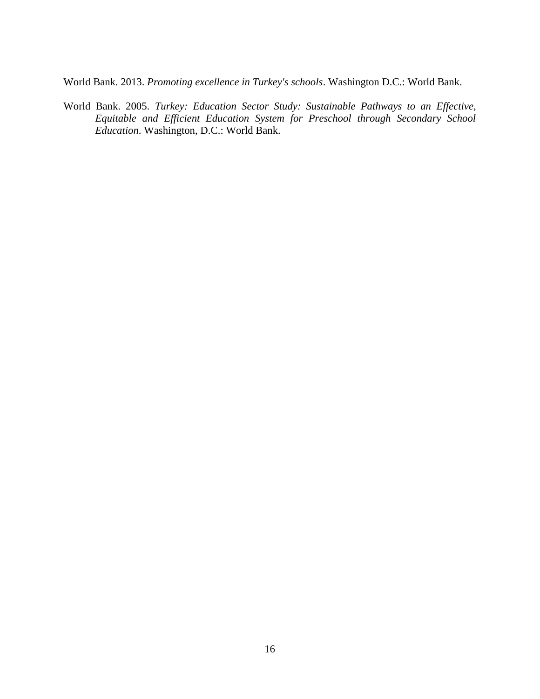World Bank. 2013. *Promoting excellence in Turkey's schools*. Washington D.C.: World Bank.

World Bank. 2005. *Turkey: Education Sector Study: Sustainable Pathways to an Effective, Equitable and Efficient Education System for Preschool through Secondary School Education*. Washington, D.C.: World Bank.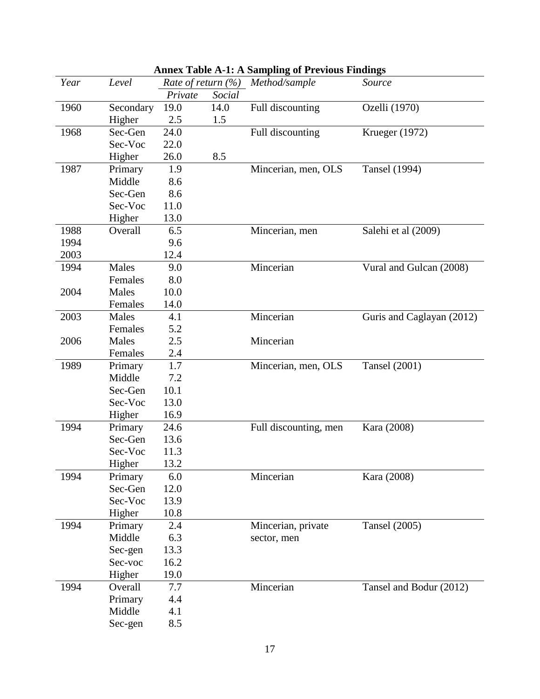| Year | Level     | Rate of return (%) |        | Method/sample         | Source                    |
|------|-----------|--------------------|--------|-----------------------|---------------------------|
|      |           | Private            | Social |                       |                           |
| 1960 | Secondary | 19.0               | 14.0   | Full discounting      | Ozelli (1970)             |
|      | Higher    | 2.5                | 1.5    |                       |                           |
| 1968 | Sec-Gen   | 24.0               |        | Full discounting      | Krueger (1972)            |
|      | Sec-Voc   | 22.0               |        |                       |                           |
|      | Higher    | 26.0               | 8.5    |                       |                           |
| 1987 | Primary   | 1.9                |        | Mincerian, men, OLS   | <b>Tansel</b> (1994)      |
|      | Middle    | 8.6                |        |                       |                           |
|      | Sec-Gen   | 8.6                |        |                       |                           |
|      | Sec-Voc   | 11.0               |        |                       |                           |
|      | Higher    | 13.0               |        |                       |                           |
| 1988 | Overall   | 6.5                |        | Mincerian, men        | Salehi et al (2009)       |
| 1994 |           | 9.6                |        |                       |                           |
| 2003 |           | 12.4               |        |                       |                           |
| 1994 | Males     | 9.0                |        | Mincerian             | Vural and Gulcan (2008)   |
|      | Females   | 8.0                |        |                       |                           |
| 2004 | Males     | 10.0               |        |                       |                           |
|      | Females   | 14.0               |        |                       |                           |
| 2003 | Males     | 4.1                |        | Mincerian             | Guris and Caglayan (2012) |
|      | Females   | 5.2                |        |                       |                           |
| 2006 | Males     | 2.5                |        | Mincerian             |                           |
|      | Females   | 2.4                |        |                       |                           |
| 1989 | Primary   | 1.7                |        | Mincerian, men, OLS   | <b>Tansel</b> (2001)      |
|      | Middle    | 7.2                |        |                       |                           |
|      | Sec-Gen   | 10.1               |        |                       |                           |
|      | Sec-Voc   | 13.0               |        |                       |                           |
|      | Higher    | 16.9               |        |                       |                           |
| 1994 | Primary   | 24.6               |        | Full discounting, men | Kara (2008)               |
|      | Sec-Gen   | 13.6               |        |                       |                           |
|      | Sec-Voc   | 11.3               |        |                       |                           |
|      | Higher    | 13.2               |        |                       |                           |
| 1994 | Primary   | 6.0                |        | Mincerian             | Kara (2008)               |
|      | Sec-Gen   | 12.0               |        |                       |                           |
|      | Sec-Voc   | 13.9               |        |                       |                           |
|      | Higher    | 10.8               |        |                       |                           |
| 1994 | Primary   | 2.4                |        | Mincerian, private    | <b>Tansel</b> (2005)      |
|      | Middle    | 6.3                |        | sector, men           |                           |
|      | Sec-gen   | 13.3               |        |                       |                           |
|      | Sec-voc   | 16.2               |        |                       |                           |
|      | Higher    | 19.0               |        |                       |                           |
| 1994 | Overall   | 7.7                |        | Mincerian             | Tansel and Bodur (2012)   |
|      | Primary   | 4.4                |        |                       |                           |
|      | Middle    | 4.1                |        |                       |                           |
|      | Sec-gen   | 8.5                |        |                       |                           |

## **Annex Table A-1: A Sampling of Previous Findings**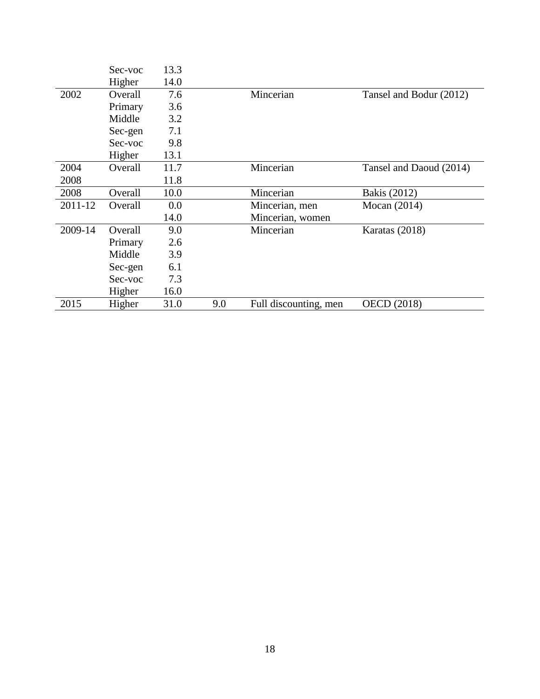|         | Sec-voc | 13.3 |     |                       |                         |
|---------|---------|------|-----|-----------------------|-------------------------|
|         | Higher  | 14.0 |     |                       |                         |
| 2002    | Overall | 7.6  |     | Mincerian             | Tansel and Bodur (2012) |
|         | Primary | 3.6  |     |                       |                         |
|         | Middle  | 3.2  |     |                       |                         |
|         | Sec-gen | 7.1  |     |                       |                         |
|         | Sec-voc | 9.8  |     |                       |                         |
|         | Higher  | 13.1 |     |                       |                         |
| 2004    | Overall | 11.7 |     | Mincerian             | Tansel and Daoud (2014) |
| 2008    |         | 11.8 |     |                       |                         |
| 2008    | Overall | 10.0 |     | Mincerian             | <b>Bakis</b> (2012)     |
| 2011-12 | Overall | 0.0  |     | Mincerian, men        | Mocan $(2014)$          |
|         |         | 14.0 |     | Mincerian, women      |                         |
| 2009-14 | Overall | 9.0  |     | Mincerian             | Karatas (2018)          |
|         | Primary | 2.6  |     |                       |                         |
|         | Middle  | 3.9  |     |                       |                         |
|         | Sec-gen | 6.1  |     |                       |                         |
|         | Sec-voc | 7.3  |     |                       |                         |
|         | Higher  | 16.0 |     |                       |                         |
| 2015    | Higher  | 31.0 | 9.0 | Full discounting, men | <b>OECD</b> (2018)      |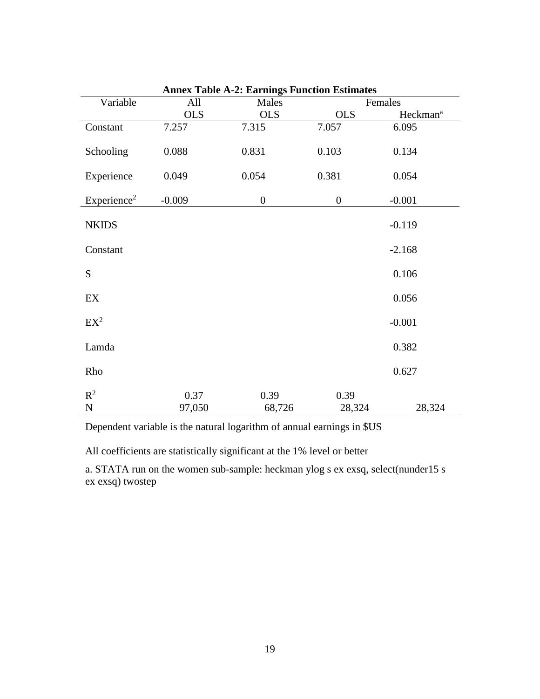|                         |            | Alliex Table A-2. Earlings Function Estimates |                  |                      |
|-------------------------|------------|-----------------------------------------------|------------------|----------------------|
| Variable                | All        | Males                                         |                  | Females              |
|                         | <b>OLS</b> | <b>OLS</b>                                    | <b>OLS</b>       | Heckman <sup>a</sup> |
| Constant                | 7.257      | 7.315                                         | 7.057            | 6.095                |
| Schooling               | 0.088      | 0.831                                         | 0.103            | 0.134                |
| Experience              | 0.049      | 0.054                                         | 0.381            | 0.054                |
| Experience <sup>2</sup> | $-0.009$   | $\boldsymbol{0}$                              | $\boldsymbol{0}$ | $-0.001$             |
| <b>NKIDS</b>            |            |                                               |                  | $-0.119$             |
| Constant                |            |                                               |                  | $-2.168$             |
| S                       |            |                                               |                  | 0.106                |
| EX                      |            |                                               |                  | 0.056                |
| $EX^2$                  |            |                                               |                  | $-0.001$             |
| Lamda                   |            |                                               |                  | 0.382                |
| Rho                     |            |                                               |                  | 0.627                |
| $R^2$                   | 0.37       | 0.39                                          | 0.39             |                      |
| ${\bf N}$               | 97,050     | 68,726                                        | 28,324           | 28,324               |

| <b>Annex Table A-2: Earnings Function Estimates</b> |  |  |  |
|-----------------------------------------------------|--|--|--|
|-----------------------------------------------------|--|--|--|

Dependent variable is the natural logarithm of annual earnings in \$US

All coefficients are statistically significant at the 1% level or better

a. STATA run on the women sub-sample: heckman ylog s ex exsq, select(nunder15 s ex exsq) twostep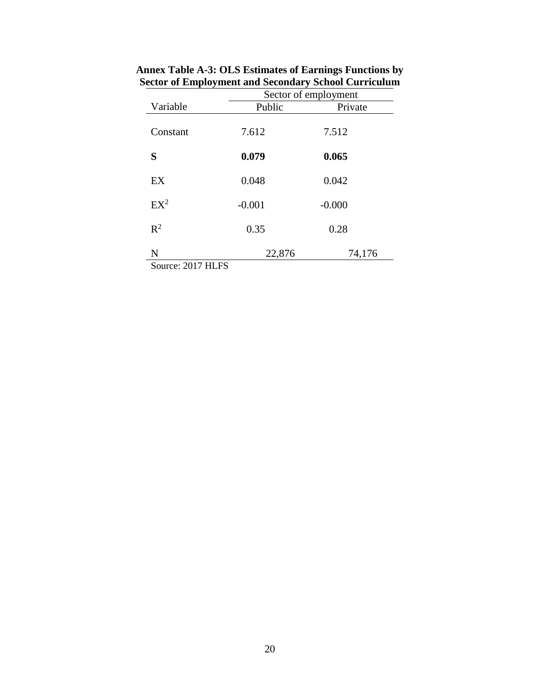|                                                             |          | Sector of employment |  |  |
|-------------------------------------------------------------|----------|----------------------|--|--|
| Variable                                                    | Public   | Private              |  |  |
| Constant                                                    | 7.612    | 7.512                |  |  |
| S                                                           | 0.079    | 0.065                |  |  |
| EX                                                          | 0.048    | 0.042                |  |  |
| $EX^2$                                                      | $-0.001$ | $-0.000$             |  |  |
| $R^2$                                                       | 0.35     | 0.28                 |  |  |
| N<br>$\alpha$ $\alpha$ $\alpha$ $\tau$ $\tau$ $\tau$ $\tau$ | 22,876   | 74,176               |  |  |

**Annex Table A-3: OLS Estimates of Earnings Functions by Sector of Employment and Secondary School Curriculum**

Source: 2017 HLFS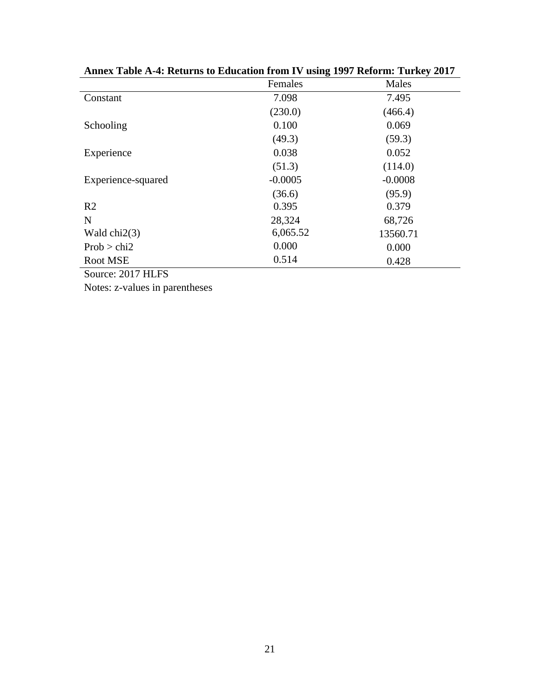|                    | Females   | Males     |
|--------------------|-----------|-----------|
| Constant           | 7.098     | 7.495     |
|                    | (230.0)   | (466.4)   |
| Schooling          | 0.100     | 0.069     |
|                    | (49.3)    | (59.3)    |
| Experience         | 0.038     | 0.052     |
|                    | (51.3)    | (114.0)   |
| Experience-squared | $-0.0005$ | $-0.0008$ |
|                    | (36.6)    | (95.9)    |
| R <sub>2</sub>     | 0.395     | 0.379     |
| N                  | 28,324    | 68,726    |
| Wald $chi2(3)$     | 6,065.52  | 13560.71  |
| Prob > chi2        | 0.000     | 0.000     |
| <b>Root MSE</b>    | 0.514     | 0.428     |
| Source: 2017 HLFS  |           |           |

**Annex Table A-4: Returns to Education from IV using 1997 Reform: Turkey 2017**

Notes: z-values in parentheses